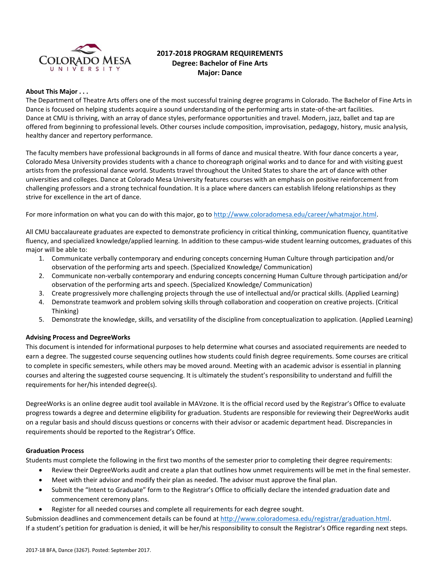

# **2017-2018 PROGRAM REQUIREMENTS Degree: Bachelor of Fine Arts Major: Dance**

#### **About This Major . . .**

The Department of Theatre Arts offers one of the most successful training degree programs in Colorado. The Bachelor of Fine Arts in Dance is focused on helping students acquire a sound understanding of the performing arts in state-of-the-art facilities. Dance at CMU is thriving, with an array of dance styles, performance opportunities and travel. Modern, jazz, ballet and tap are offered from beginning to professional levels. Other courses include composition, improvisation, pedagogy, history, music analysis, healthy dancer and repertory performance.

The faculty members have professional backgrounds in all forms of dance and musical theatre. With four dance concerts a year, Colorado Mesa University provides students with a chance to choreograph original works and to dance for and with visiting guest artists from the professional dance world. Students travel throughout the United States to share the art of dance with other universities and colleges. Dance at Colorado Mesa University features courses with an emphasis on positive reinforcement from challenging professors and a strong technical foundation. It is a place where dancers can establish lifelong relationships as they strive for excellence in the art of dance.

For more information on what you can do with this major, go to [http://www.coloradomesa.edu/career/whatmajor.html.](http://www.coloradomesa.edu/career/whatmajor.html)

All CMU baccalaureate graduates are expected to demonstrate proficiency in critical thinking, communication fluency, quantitative fluency, and specialized knowledge/applied learning. In addition to these campus-wide student learning outcomes, graduates of this major will be able to:

- 1. Communicate verbally contemporary and enduring concepts concerning Human Culture through participation and/or observation of the performing arts and speech. (Specialized Knowledge/ Communication)
- 2. Communicate non-verbally contemporary and enduring concepts concerning Human Culture through participation and/or observation of the performing arts and speech. (Specialized Knowledge/ Communication)
- 3. Create progressively more challenging projects through the use of intellectual and/or practical skills. (Applied Learning)
- 4. Demonstrate teamwork and problem solving skills through collaboration and cooperation on creative projects. (Critical Thinking)
- 5. Demonstrate the knowledge, skills, and versatility of the discipline from conceptualization to application. (Applied Learning)

# **Advising Process and DegreeWorks**

This document is intended for informational purposes to help determine what courses and associated requirements are needed to earn a degree. The suggested course sequencing outlines how students could finish degree requirements. Some courses are critical to complete in specific semesters, while others may be moved around. Meeting with an academic advisor is essential in planning courses and altering the suggested course sequencing. It is ultimately the student's responsibility to understand and fulfill the requirements for her/his intended degree(s).

DegreeWorks is an online degree audit tool available in MAVzone. It is the official record used by the Registrar's Office to evaluate progress towards a degree and determine eligibility for graduation. Students are responsible for reviewing their DegreeWorks audit on a regular basis and should discuss questions or concerns with their advisor or academic department head. Discrepancies in requirements should be reported to the Registrar's Office.

#### **Graduation Process**

Students must complete the following in the first two months of the semester prior to completing their degree requirements:

- Review their DegreeWorks audit and create a plan that outlines how unmet requirements will be met in the final semester.
- Meet with their advisor and modify their plan as needed. The advisor must approve the final plan.
- Submit the "Intent to Graduate" form to the Registrar's Office to officially declare the intended graduation date and commencement ceremony plans.
- Register for all needed courses and complete all requirements for each degree sought.

Submission deadlines and commencement details can be found at [http://www.coloradomesa.edu/registrar/graduation.html.](http://www.coloradomesa.edu/registrar/graduation.html) If a student's petition for graduation is denied, it will be her/his responsibility to consult the Registrar's Office regarding next steps.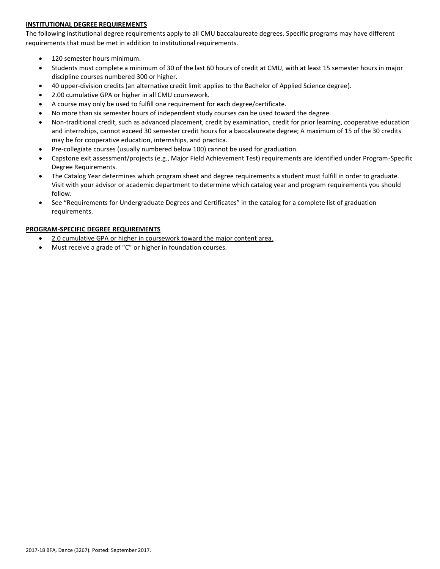# **INSTITUTIONAL DEGREE REQUIREMENTS**

The following institutional degree requirements apply to all CMU baccalaureate degrees. Specific programs may have different requirements that must be met in addition to institutional requirements.

- 120 semester hours minimum.
- Students must complete a minimum of 30 of the last 60 hours of credit at CMU, with at least 15 semester hours in major discipline courses numbered 300 or higher.
- 40 upper-division credits (an alternative credit limit applies to the Bachelor of Applied Science degree).
- 2.00 cumulative GPA or higher in all CMU coursework.
- A course may only be used to fulfill one requirement for each degree/certificate.
- No more than six semester hours of independent study courses can be used toward the degree.
- Non-traditional credit, such as advanced placement, credit by examination, credit for prior learning, cooperative education and internships, cannot exceed 30 semester credit hours for a baccalaureate degree; A maximum of 15 of the 30 credits may be for cooperative education, internships, and practica.
- Pre-collegiate courses (usually numbered below 100) cannot be used for graduation.
- Capstone exit assessment/projects (e.g., Major Field Achievement Test) requirements are identified under Program-Specific Degree Requirements.
- The Catalog Year determines which program sheet and degree requirements a student must fulfill in order to graduate. Visit with your advisor or academic department to determine which catalog year and program requirements you should follow.
- See "Requirements for Undergraduate Degrees and Certificates" in the catalog for a complete list of graduation requirements.

# **PROGRAM-SPECIFIC DEGREE REQUIREMENTS**

- 2.0 cumulative GPA or higher in coursework toward the major content area.
- Must receive a grade of "C" or higher in foundation courses.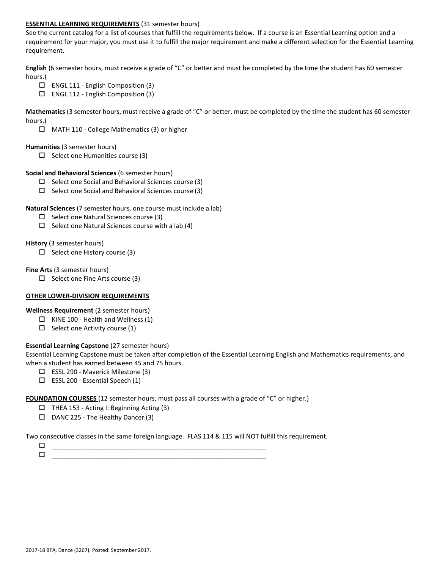## **ESSENTIAL LEARNING REQUIREMENTS** (31 semester hours)

See the current catalog for a list of courses that fulfill the requirements below. If a course is an Essential Learning option and a requirement for your major, you must use it to fulfill the major requirement and make a different selection for the Essential Learning requirement.

**English** (6 semester hours, must receive a grade of "C" or better and must be completed by the time the student has 60 semester hours.)

- $\Box$  ENGL 111 English Composition (3)
- ENGL 112 English Composition (3)

**Mathematics** (3 semester hours, must receive a grade of "C" or better, must be completed by the time the student has 60 semester hours.)

MATH 110 - College Mathematics (3) or higher

#### **Humanities** (3 semester hours)

 $\Box$  Select one Humanities course (3)

#### **Social and Behavioral Sciences** (6 semester hours)

- $\Box$  Select one Social and Behavioral Sciences course (3)
- $\Box$  Select one Social and Behavioral Sciences course (3)

## **Natural Sciences** (7 semester hours, one course must include a lab)

- $\square$  Select one Natural Sciences course (3)
- $\Box$  Select one Natural Sciences course with a lab (4)

## **History** (3 semester hours)

 $\Box$  Select one History course (3)

## **Fine Arts** (3 semester hours)

 $\Box$  Select one Fine Arts course (3)

#### **OTHER LOWER-DIVISION REQUIREMENTS**

**Wellness Requirement** (2 semester hours)

- $\Box$  KINE 100 Health and Wellness (1)
- $\Box$  Select one Activity course (1)

# **Essential Learning Capstone** (27 semester hours)

Essential Learning Capstone must be taken after completion of the Essential Learning English and Mathematics requirements, and when a student has earned between 45 and 75 hours.

- ESSL 290 Maverick Milestone (3)
- $\square$  ESSL 200 Essential Speech (1)

**FOUNDATION COURSES** (12 semester hours, must pass all courses with a grade of "C" or higher.)

- $\Box$  THEA 153 Acting I: Beginning Acting (3)
- DANC 225 The Healthy Dancer (3)

Two consecutive classes in the same foreign language. FLAS 114 & 115 will NOT fulfill this requirement.

 \_\_\_\_\_\_\_\_\_\_\_\_\_\_\_\_\_\_\_\_\_\_\_\_\_\_\_\_\_\_\_\_\_\_\_\_\_\_\_\_\_\_\_\_\_\_\_\_\_\_\_\_\_\_\_\_\_\_\_\_ \_\_\_\_\_\_\_\_\_\_\_\_\_\_\_\_\_\_\_\_\_\_\_\_\_\_\_\_\_\_\_\_\_\_\_\_\_\_\_\_\_\_\_\_\_\_\_\_\_\_\_\_\_\_\_\_\_\_\_\_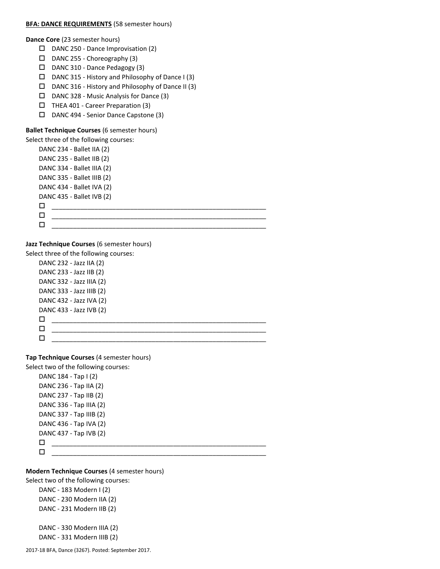#### **BFA: DANCE REQUIREMENTS** (58 semester hours)

**Dance Core** (23 semester hours)

- D DANC 250 Dance Improvisation (2)
- $\Box$  DANC 255 Choreography (3)
- $\square$  DANC 310 Dance Pedagogy (3)
- $\square$  DANC 315 History and Philosophy of Dance I (3)
- $\square$  DANC 316 History and Philosophy of Dance II (3)
- $\Box$  DANC 328 Music Analysis for Dance (3)
- THEA 401 Career Preparation (3)
- D DANC 494 Senior Dance Capstone (3)

### **Ballet Technique Courses** (6 semester hours)

## Select three of the following courses:

DANC 234 - Ballet IIA (2) DANC 235 - Ballet IIB (2) DANC 334 - Ballet IIIA (2) DANC 335 - Ballet IIIB (2) DANC 434 - Ballet IVA (2) DANC 435 - Ballet IVB (2)  $\Box$   $\underline{\hspace{1cm}}$   $\underline{\hspace{1cm}}$   $\underline{\hspace{1cm}}$   $\underline{\hspace{1cm}}$   $\overline{\hspace{1cm}}$   $\overline{\hspace{1cm}}$   $\overline{\hspace{1cm}}$   $\overline{\hspace{1cm}}$   $\overline{\hspace{1cm}}$   $\overline{\hspace{1cm}}$   $\overline{\hspace{1cm}}$   $\overline{\hspace{1cm}}$   $\overline{\hspace{1cm}}$   $\overline{\hspace{1cm}}$   $\overline{\hspace{1cm}}$   $\overline{\hspace{1cm}}$   $\overline{\hspace{1$  $\Box$  . The contract of the contract of the contract of the contract of the contract of the contract of the contract of the contract of the contract of the contract of the contract of the contract of the contract of the co \_\_\_\_\_\_\_\_\_\_\_\_\_\_\_\_\_\_\_\_\_\_\_\_\_\_\_\_\_\_\_\_\_\_\_\_\_\_\_\_\_\_\_\_\_\_\_\_\_\_\_\_\_\_\_\_\_\_\_\_

\_\_\_\_\_\_\_\_\_\_\_\_\_\_\_\_\_\_\_\_\_\_\_\_\_\_\_\_\_\_\_\_\_\_\_\_\_\_\_\_\_\_\_\_\_\_\_\_\_\_\_\_\_\_\_\_\_\_\_\_

#### **Jazz Technique Courses** (6 semester hours)

Select three of the following courses:

DANC 232 - Jazz IIA (2) DANC 233 - Jazz IIB (2) DANC 332 - Jazz IIIA (2) DANC 333 - Jazz IIIB (2) DANC 432 - Jazz IVA (2) DANC 433 - Jazz IVB (2) \_\_\_\_\_\_\_\_\_\_\_\_\_\_\_\_\_\_\_\_\_\_\_\_\_\_\_\_\_\_\_\_\_\_\_\_\_\_\_\_\_\_\_\_\_\_\_\_\_\_\_\_\_\_\_\_\_\_\_\_ \_\_\_\_\_\_\_\_\_\_\_\_\_\_\_\_\_\_\_\_\_\_\_\_\_\_\_\_\_\_\_\_\_\_\_\_\_\_\_\_\_\_\_\_\_\_\_\_\_\_\_\_\_\_\_\_\_\_\_\_

#### **Tap Technique Courses** (4 semester hours)

Select two of the following courses:

DANC 184 - Tap I (2) DANC 236 - Tap IIA (2) DANC 237 - Tap IIB (2) DANC 336 - Tap IIIA (2) DANC 337 - Tap IIIB (2) DANC 436 - Tap IVA (2) DANC 437 - Tap IVB (2) \_\_\_\_\_\_\_\_\_\_\_\_\_\_\_\_\_\_\_\_\_\_\_\_\_\_\_\_\_\_\_\_\_\_\_\_\_\_\_\_\_\_\_\_\_\_\_\_\_\_\_\_\_\_\_\_\_\_\_\_ \_\_\_\_\_\_\_\_\_\_\_\_\_\_\_\_\_\_\_\_\_\_\_\_\_\_\_\_\_\_\_\_\_\_\_\_\_\_\_\_\_\_\_\_\_\_\_\_\_\_\_\_\_\_\_\_\_\_\_\_

#### **Modern Technique Courses** (4 semester hours)

Select two of the following courses:

DANC - 183 Modern I (2) DANC - 230 Modern IIA (2) DANC - 231 Modern IIB (2)

DANC - 330 Modern IIIA (2) DANC - 331 Modern IIIB (2)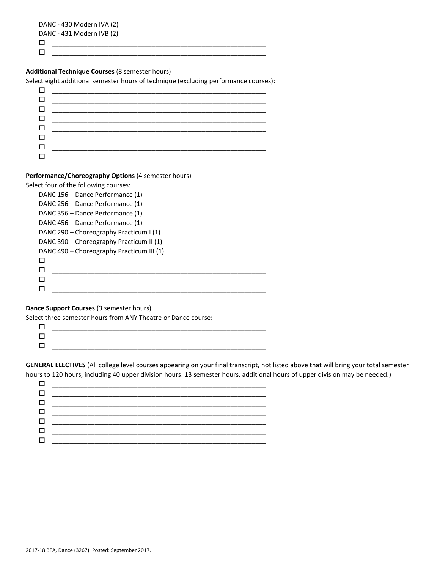# DANC - 430 Modern IVA (2)

DANC - 431 Modern IVB (2)

 $\Box$  , and the set of the set of the set of the set of the set of the set of the set of the set of the set of the set of the set of the set of the set of the set of the set of the set of the set of the set of the set of t  $\Box$ 

#### **Additional Technique Courses** (8 semester hours)

Select eight additional semester hours of technique (excluding performance courses):

#### **Performance/Choreography Options** (4 semester hours)

Select four of the following courses:

| DANC 156 - Dance Performance (1)          |  |  |
|-------------------------------------------|--|--|
| DANC 256 - Dance Performance (1)          |  |  |
| DANC 356 - Dance Performance (1)          |  |  |
| DANC 456 - Dance Performance (1)          |  |  |
| DANC 290 – Choreography Practicum I $(1)$ |  |  |
| DANC 390 – Choreography Practicum II (1)  |  |  |
| DANC 490 - Choreography Practicum III (1) |  |  |
|                                           |  |  |
| П                                         |  |  |
|                                           |  |  |
|                                           |  |  |

# **Dance Support Courses** (3 semester hours)

Select three semester hours from ANY Theatre or Dance course:

| ______ |
|--------|
|        |
|        |

**GENERAL ELECTIVES** (All college level courses appearing on your final transcript, not listed above that will bring your total semester hours to 120 hours, including 40 upper division hours. 13 semester hours, additional hours of upper division may be needed.)

| <u> 1989 - Johann Barn, mars et al. (</u> |
|-------------------------------------------|
|                                           |
|                                           |
|                                           |
|                                           |
|                                           |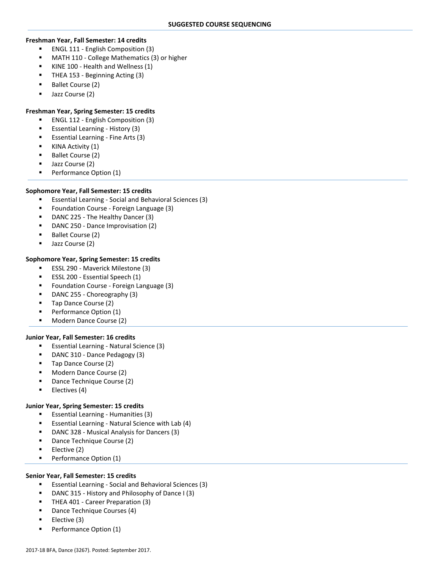#### **Freshman Year, Fall Semester: 14 credits**

- ENGL 111 English Composition (3)
- MATH 110 College Mathematics (3) or higher
- KINE 100 Health and Wellness (1)
- THEA 153 Beginning Acting (3)
- Ballet Course (2)
- Jazz Course (2)

# **Freshman Year, Spring Semester: 15 credits**

- ENGL 112 English Composition (3)
- **Essential Learning History (3)**
- Essential Learning Fine Arts (3)
- KINA Activity (1)
- Ballet Course (2)
- Jazz Course (2)
- Performance Option (1)

## **Sophomore Year, Fall Semester: 15 credits**

- Essential Learning Social and Behavioral Sciences (3)
- Foundation Course Foreign Language (3)
- DANC 225 The Healthy Dancer (3)
- DANC 250 Dance Improvisation (2)
- Ballet Course (2)
- **Jazz Course (2)**

## **Sophomore Year, Spring Semester: 15 credits**

- **ESSL 290 Maverick Milestone (3)**
- **ESSL 200 Essential Speech (1)**
- **F** Foundation Course Foreign Language (3)
- DANC 255 Choreography (3)
- Tap Dance Course (2)
- Performance Option (1)
- Modern Dance Course (2)

#### **Junior Year, Fall Semester: 16 credits**

- **Essential Learning Natural Science (3)**
- DANC 310 Dance Pedagogy (3)
- Tap Dance Course (2)
- Modern Dance Course (2)
- Dance Technique Course (2)
- $\blacksquare$  Electives (4)

# **Junior Year, Spring Semester: 15 credits**

- Essential Learning Humanities (3)
- Essential Learning Natural Science with Lab (4)
- DANC 328 Musical Analysis for Dancers (3)
- Dance Technique Course (2)
- Elective (2)
- **Performance Option (1)**

#### **Senior Year, Fall Semester: 15 credits**

- Essential Learning Social and Behavioral Sciences (3)
- DANC 315 History and Philosophy of Dance I (3)
- THEA 401 Career Preparation (3)
- Dance Technique Courses (4)
- Elective (3)
- **Performance Option (1)**